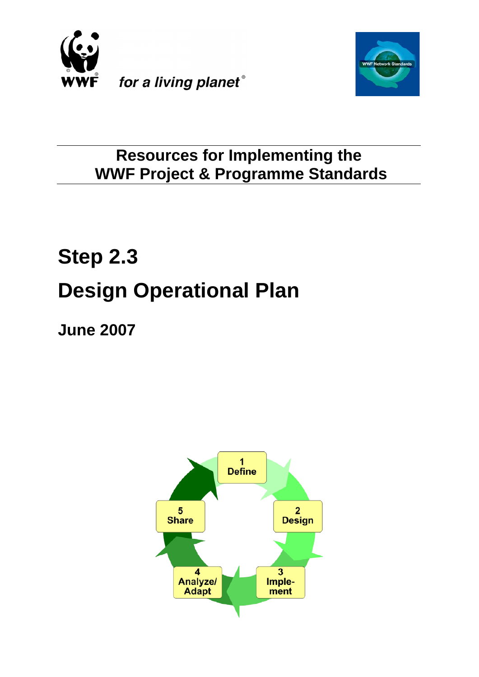



# **Resources for Implementing the WWF Project & Programme Standards**

# **Step 2.3 Design Operational Plan**

**June 2007**

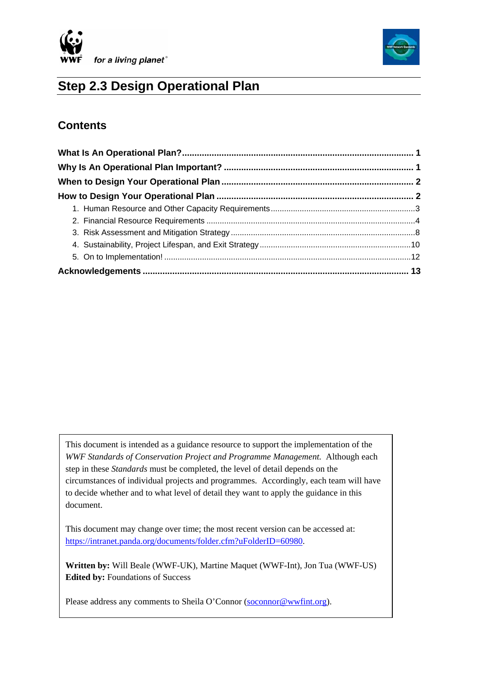



# **Step 2.3 Design Operational Plan**

# **Contents**

 $\overline{\phantom{a}}$ 

This document is intended as a guidance resource to support the implementation of the *WWF Standards of Conservation Project and Programme Management.* Although each step in these *Standards* must be completed, the level of detail depends on the circumstances of individual projects and programmes. Accordingly, each team will have to decide whether and to what level of detail they want to apply the guidance in this document.

This document may change over time; the most recent version can be accessed at: <https://intranet.panda.org/documents/folder.cfm?uFolderID=60980>.

**Written by:** Will Beale (WWF-UK), Martine Maquet (WWF-Int), Jon Tua (WWF-US) **Edited by: Foundations of Success** 

Please address any comments to Sheila O'Connor [\(soconnor@wwfint.org](mailto:soconnor@wwfint.org)).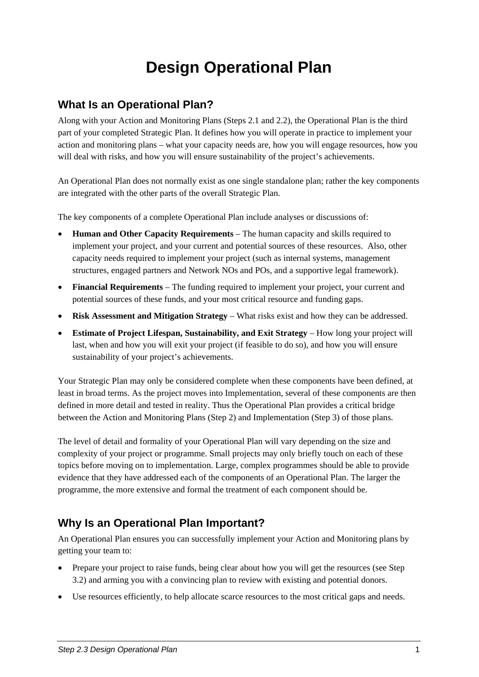# **Design Operational Plan**

# <span id="page-2-0"></span>**What Is an Operational Plan?**

Along with your Action and Monitoring Plans (Steps 2.1 and 2.2), the Operational Plan is the third part of your completed Strategic Plan. It defines how you will operate in practice to implement your action and monitoring plans – what your capacity needs are, how you will engage resources, how you will deal with risks, and how you will ensure sustainability of the project's achievements.

An Operational Plan does not normally exist as one single standalone plan; rather the key components are integrated with the other parts of the overall Strategic Plan.

The key components of a complete Operational Plan include analyses or discussions of:

- **Human and Other Capacity Requirements** The human capacity and skills required to implement your project, and your current and potential sources of these resources. Also, other capacity needs required to implement your project (such as internal systems, management structures, engaged partners and Network NOs and POs, and a supportive legal framework).
- **Financial Requirements** The funding required to implement your project, your current and potential sources of these funds, and your most critical resource and funding gaps.
- **Risk Assessment and Mitigation Strategy** What risks exist and how they can be addressed.
- **Estimate of Project Lifespan, Sustainability, and Exit Strategy** How long your project will last, when and how you will exit your project (if feasible to do so), and how you will ensure sustainability of your project's achievements.

Your Strategic Plan may only be considered complete when these components have been defined, at least in broad terms. As the project moves into Implementation, several of these components are then defined in more detail and tested in reality. Thus the Operational Plan provides a critical bridge between the Action and Monitoring Plans (Step 2) and Implementation (Step 3) of those plans.

The level of detail and formality of your Operational Plan will vary depending on the size and complexity of your project or programme. Small projects may only briefly touch on each of these topics before moving on to implementation. Large, complex programmes should be able to provide evidence that they have addressed each of the components of an Operational Plan. The larger the programme, the more extensive and formal the treatment of each component should be.

# **Why Is an Operational Plan Important?**

An Operational Plan ensures you can successfully implement your Action and Monitoring plans by getting your team to:

- Prepare your project to raise funds, being clear about how you will get the resources (see Step 3.2) and arming you with a convincing plan to review with existing and potential donors.
- Use resources efficiently, to help allocate scarce resources to the most critical gaps and needs.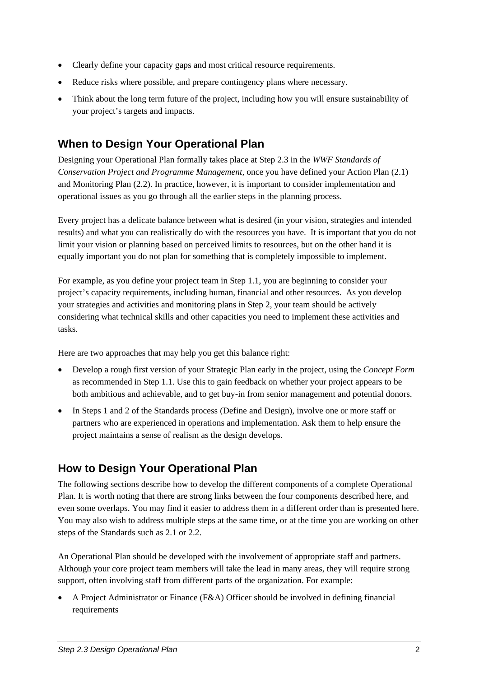- <span id="page-3-0"></span>• Clearly define your capacity gaps and most critical resource requirements.
- Reduce risks where possible, and prepare contingency plans where necessary.
- Think about the long term future of the project, including how you will ensure sustainability of your project's targets and impacts.

# **When to Design Your Operational Plan**

Designing your Operational Plan formally takes place at Step 2.3 in the *WWF Standards of Conservation Project and Programme Management,* once you have defined your Action Plan (2.1) and Monitoring Plan (2.2). In practice, however, it is important to consider implementation and operational issues as you go through all the earlier steps in the planning process.

Every project has a delicate balance between what is desired (in your vision, strategies and intended results) and what you can realistically do with the resources you have. It is important that you do not limit your vision or planning based on perceived limits to resources, but on the other hand it is equally important you do not plan for something that is completely impossible to implement.

For example, as you define your project team in Step 1.1, you are beginning to consider your project's capacity requirements, including human, financial and other resources. As you develop your strategies and activities and monitoring plans in Step 2, your team should be actively considering what technical skills and other capacities you need to implement these activities and tasks.

Here are two approaches that may help you get this balance right:

- Develop a rough first version of your Strategic Plan early in the project, using the *Concept Form* as recommended in Step 1.1. Use this to gain feedback on whether your project appears to be both ambitious and achievable, and to get buy-in from senior management and potential donors.
- In Steps 1 and 2 of the Standards process (Define and Design), involve one or more staff or partners who are experienced in operations and implementation. Ask them to help ensure the project maintains a sense of realism as the design develops.

# **How to Design Your Operational Plan**

The following sections describe how to develop the different components of a complete Operational Plan. It is worth noting that there are strong links between the four components described here, and even some overlaps. You may find it easier to address them in a different order than is presented here. You may also wish to address multiple steps at the same time, or at the time you are working on other steps of the Standards such as 2.1 or 2.2.

An Operational Plan should be developed with the involvement of appropriate staff and partners. Although your core project team members will take the lead in many areas, they will require strong support, often involving staff from different parts of the organization. For example:

• A Project Administrator or Finance (F&A) Officer should be involved in defining financial requirements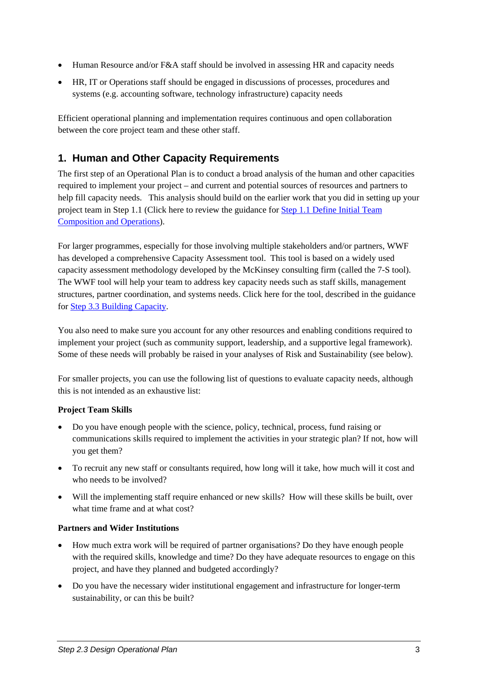- <span id="page-4-0"></span>• Human Resource and/or F&A staff should be involved in assessing HR and capacity needs
- HR, IT or Operations staff should be engaged in discussions of processes, procedures and systems (e.g. accounting software, technology infrastructure) capacity needs

Efficient operational planning and implementation requires continuous and open collaboration between the core project team and these other staff.

# **1. Human and Other Capacity Requirements**

The first step of an Operational Plan is to conduct a broad analysis of the human and other capacities required to implement your project – and current and potential sources of resources and partners to help fill capacity needs. This analysis should build on the earlier work that you did in setting up your project team in Step 1.1 (Click here to review the guidance for [Step 1.1 Define Initial Team](https://intranet.panda.org/documents/folder.cfm?uFolderID=60970)  [Composition and Operations\)](https://intranet.panda.org/documents/folder.cfm?uFolderID=60970).

For larger programmes, especially for those involving multiple stakeholders and/or partners, WWF has developed a comprehensive Capacity Assessment tool. This tool is based on a widely used capacity assessment methodology developed by the McKinsey consulting firm (called the 7-S tool). The WWF tool will help your team to address key capacity needs such as staff skills, management structures, partner coordination, and systems needs. Click here for the tool, described in the guidance for [Step 3.3 Building Capacity.](https://intranet.panda.org/documents/folder.cfm?uFolderID=60983)

You also need to make sure you account for any other resources and enabling conditions required to implement your project (such as community support, leadership, and a supportive legal framework). Some of these needs will probably be raised in your analyses of Risk and Sustainability (see below).

For smaller projects, you can use the following list of questions to evaluate capacity needs, although this is not intended as an exhaustive list:

#### **Project Team Skills**

- Do you have enough people with the science, policy, technical, process, fund raising or communications skills required to implement the activities in your strategic plan? If not, how will you get them?
- To recruit any new staff or consultants required, how long will it take, how much will it cost and who needs to be involved?
- Will the implementing staff require enhanced or new skills? How will these skills be built, over what time frame and at what cost?

#### **Partners and Wider Institutions**

- How much extra work will be required of partner organisations? Do they have enough people with the required skills, knowledge and time? Do they have adequate resources to engage on this project, and have they planned and budgeted accordingly?
- Do you have the necessary wider institutional engagement and infrastructure for longer-term sustainability, or can this be built?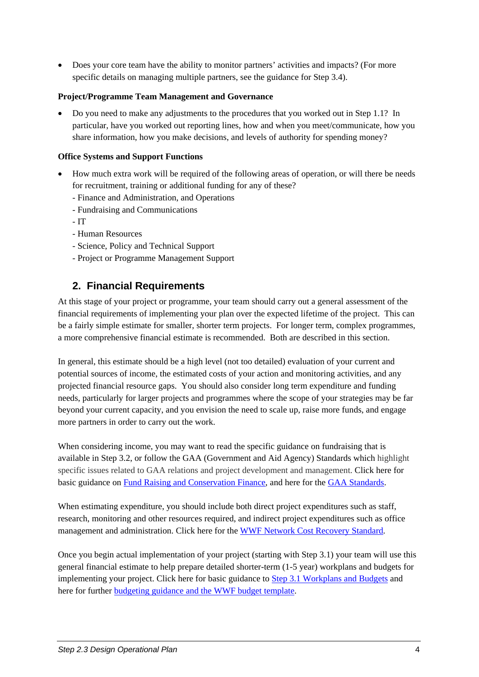<span id="page-5-0"></span>• Does your core team have the ability to monitor partners' activities and impacts? (For more specific details on managing multiple partners, see the guidance for Step 3.4).

#### **Project/Programme Team Management and Governance**

• Do you need to make any adjustments to the procedures that you worked out in Step 1.1? In particular, have you worked out reporting lines, how and when you meet/communicate, how you share information, how you make decisions, and levels of authority for spending money?

#### **Office Systems and Support Functions**

- How much extra work will be required of the following areas of operation, or will there be needs for recruitment, training or additional funding for any of these?
	- Finance and Administration, and Operations
	- Fundraising and Communications
	- IT
	- Human Resources
	- Science, Policy and Technical Support
	- Project or Programme Management Support

# **2. Financial Requirements**

At this stage of your project or programme, your team should carry out a general assessment of the financial requirements of implementing your plan over the expected lifetime of the project. This can be a fairly simple estimate for smaller, shorter term projects. For longer term, complex programmes, a more comprehensive financial estimate is recommended. Both are described in this section.

In general, this estimate should be a high level (not too detailed) evaluation of your current and potential sources of income, the estimated costs of your action and monitoring activities, and any projected financial resource gaps. You should also consider long term expenditure and funding needs, particularly for larger projects and programmes where the scope of your strategies may be far beyond your current capacity, and you envision the need to scale up, raise more funds, and engage more partners in order to carry out the work.

When considering income, you may want to read the specific guidance on fundraising that is available in Step 3.2, or follow the GAA (Government and Aid Agency) Standards which highlight specific issues related to GAA relations and project development and management. Click here for basic guidance on [Fund Raising and Conservation Finance](https://intranet.panda.org/documents/folder.cfm?uFolderID=60982), and here for the [GAA Standards.](https://intranet.panda.org/documents/folder.cfm?uFolderID=63623)

When estimating expenditure, you should include both direct project expenditures such as staff, research, monitoring and other resources required, and indirect project expenditures such as office management and administration. Click here for the [WWF Network Cost Recovery Standard](https://intranet.panda.org/documents/folder.cfm?uFolderID=59003).

Once you begin actual implementation of your project (starting with Step 3.1) your team will use this general financial estimate to help prepare detailed shorter-term (1-5 year) workplans and budgets for implementing your project. Click here for basic guidance to [Step 3.1 Workplans and Budgets](https://intranet.panda.org/documents/folder.cfm?uFolderID=60981) and here for further [budgeting guidance and the WWF budget template](https://intranet.panda.org/documents/document.cfm?uFolderID=52864&uDocID=54613).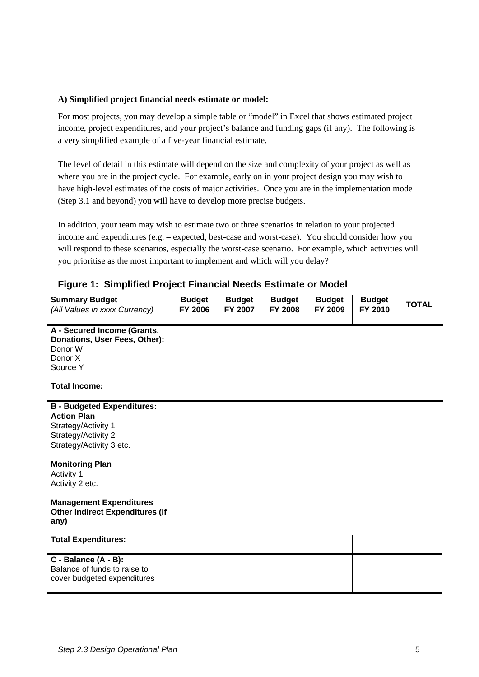#### **A) Simplified project financial needs estimate or model:**

For most projects, you may develop a simple table or "model" in Excel that shows estimated project income, project expenditures, and your project's balance and funding gaps (if any). The following is a very simplified example of a five-year financial estimate.

The level of detail in this estimate will depend on the size and complexity of your project as well as where you are in the project cycle. For example, early on in your project design you may wish to have high-level estimates of the costs of major activities. Once you are in the implementation mode (Step 3.1 and beyond) you will have to develop more precise budgets.

In addition, your team may wish to estimate two or three scenarios in relation to your projected income and expenditures (e.g. – expected, best-case and worst-case). You should consider how you will respond to these scenarios, especially the worst-case scenario. For example, which activities will you prioritise as the most important to implement and which will you delay?

| <b>Summary Budget</b><br>(All Values in xxxx Currency)                                                                            | <b>Budget</b><br><b>FY 2006</b> | <b>Budget</b><br>FY 2007 | <b>Budget</b><br><b>FY 2008</b> | <b>Budget</b><br>FY 2009 | <b>Budget</b><br>FY 2010 | <b>TOTAL</b> |
|-----------------------------------------------------------------------------------------------------------------------------------|---------------------------------|--------------------------|---------------------------------|--------------------------|--------------------------|--------------|
| A - Secured Income (Grants,<br>Donations, User Fees, Other):<br>Donor W<br>Donor X<br>Source Y<br><b>Total Income:</b>            |                                 |                          |                                 |                          |                          |              |
| <b>B</b> - Budgeted Expenditures:<br><b>Action Plan</b><br>Strategy/Activity 1<br>Strategy/Activity 2<br>Strategy/Activity 3 etc. |                                 |                          |                                 |                          |                          |              |
| <b>Monitoring Plan</b><br>Activity 1<br>Activity 2 etc.                                                                           |                                 |                          |                                 |                          |                          |              |
| <b>Management Expenditures</b><br><b>Other Indirect Expenditures (if</b><br>any)                                                  |                                 |                          |                                 |                          |                          |              |
| <b>Total Expenditures:</b>                                                                                                        |                                 |                          |                                 |                          |                          |              |
| C - Balance (A - B):<br>Balance of funds to raise to<br>cover budgeted expenditures                                               |                                 |                          |                                 |                          |                          |              |

**Figure 1: Simplified Project Financial Needs Estimate or Model**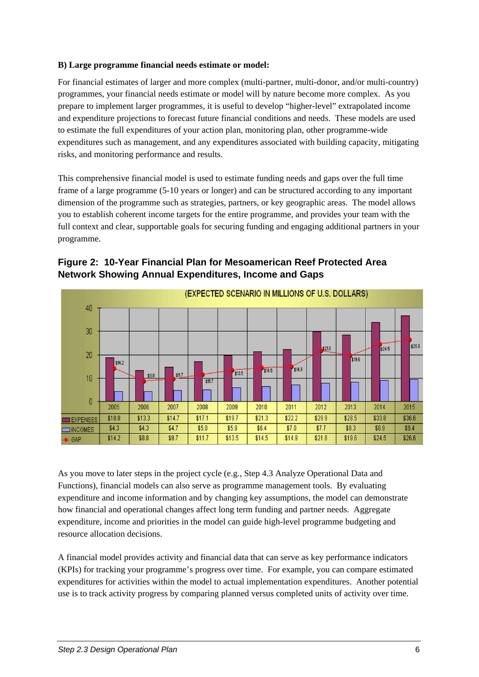#### **B) Large programme financial needs estimate or model:**

For financial estimates of larger and more complex (multi-partner, multi-donor, and/or multi-country) programmes, your financial needs estimate or model will by nature become more complex. As you prepare to implement larger programmes, it is useful to develop "higher-level" extrapolated income and expenditure projections to forecast future financial conditions and needs. These models are used to estimate the full expenditures of your action plan, monitoring plan, other programme-wide expenditures such as management, and any expenditures associated with building capacity, mitigating risks, and monitoring performance and results.

This comprehensive financial model is used to estimate funding needs and gaps over the full time frame of a large programme (5-10 years or longer) and can be structured according to any important dimension of the programme such as strategies, partners, or key geographic areas. The model allows you to establish coherent income targets for the entire programme, and provides your team with the full context and clear, supportable goals for securing funding and engaging additional partners in your programme.



**Figure 2: 10-Year Financial Plan for Mesoamerican Reef Protected Area Network Showing Annual Expenditures, Income and Gaps** 

As you move to later steps in the project cycle (e.g., Step 4.3 Analyze Operational Data and Functions), financial models can also serve as programme management tools. By evaluating expenditure and income information and by changing key assumptions, the model can demonstrate how financial and operational changes affect long term funding and partner needs. Aggregate expenditure, income and priorities in the model can guide high-level programme budgeting and resource allocation decisions.

A financial model provides activity and financial data that can serve as key performance indicators (KPIs) for tracking your programme's progress over time. For example, you can compare estimated expenditures for activities within the model to actual implementation expenditures. Another potential use is to track activity progress by comparing planned versus completed units of activity over time.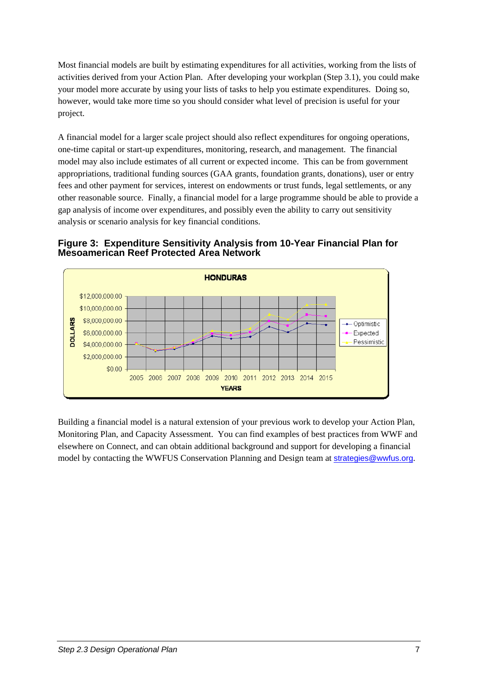Most financial models are built by estimating expenditures for all activities, working from the lists of activities derived from your Action Plan. After developing your workplan (Step 3.1), you could make your model more accurate by using your lists of tasks to help you estimate expenditures. Doing so, however, would take more time so you should consider what level of precision is useful for your project.

A financial model for a larger scale project should also reflect expenditures for ongoing operations, one-time capital or start-up expenditures, monitoring, research, and management. The financial model may also include estimates of all current or expected income. This can be from government appropriations, traditional funding sources (GAA grants, foundation grants, donations), user or entry fees and other payment for services, interest on endowments or trust funds, legal settlements, or any other reasonable source. Finally, a financial model for a large programme should be able to provide a gap analysis of income over expenditures, and possibly even the ability to carry out sensitivity analysis or scenario analysis for key financial conditions.

**Figure 3: Expenditure Sensitivity Analysis from 10-Year Financial Plan for Mesoamerican Reef Protected Area Network** 



Building a financial model is a natural extension of your previous work to develop your Action Plan, Monitoring Plan, and Capacity Assessment. You can find examples of best practices from WWF and elsewhere on Connect, and can obtain additional background and support for developing a financial model by contacting the WWFUS Conservation Planning and Design team at [strategies@wwfus.org](mailto:strategies@wwfus.org).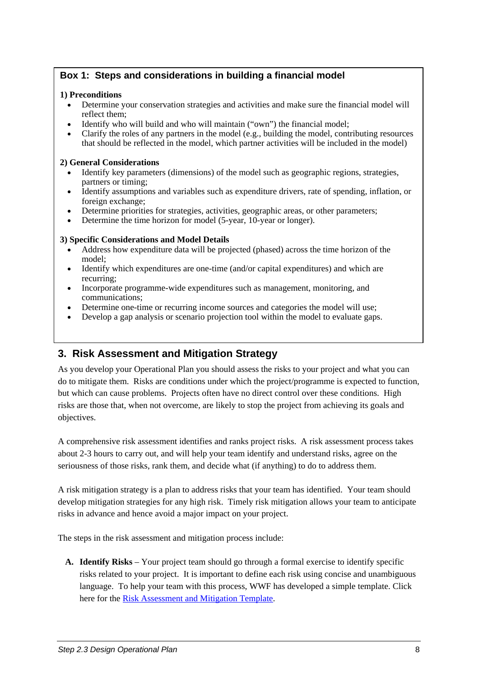### <span id="page-9-0"></span>**Box 1: Steps and considerations in building a financial model**

#### **1) Preconditions**

- Determine your conservation strategies and activities and make sure the financial model will reflect them;
- Identify who will build and who will maintain ("own") the financial model:
- Clarify the roles of any partners in the model (e.g., building the model, contributing resources that should be reflected in the model, which partner activities will be included in the model)

#### **2) General Considerations**

- Identify key parameters (dimensions) of the model such as geographic regions, strategies, partners or timing;
- Identify assumptions and variables such as expenditure drivers, rate of spending, inflation, or foreign exchange;
- Determine priorities for strategies, activities, geographic areas, or other parameters;
- Determine the time horizon for model (5-year, 10-year or longer).

#### **3) Specific Considerations and Model Details**

- Address how expenditure data will be projected (phased) across the time horizon of the model;
- Identify which expenditures are one-time (and/or capital expenditures) and which are recurring;
- Incorporate programme-wide expenditures such as management, monitoring, and communications;
- Determine one-time or recurring income sources and categories the model will use;
- Develop a gap analysis or scenario projection tool within the model to evaluate gaps.

# **3. Risk Assessment and Mitigation Strategy**

As you develop your Operational Plan you should assess the risks to your project and what you can do to mitigate them. Risks are conditions under which the project/programme is expected to function, but which can cause problems. Projects often have no direct control over these conditions. High risks are those that, when not overcome, are likely to stop the project from achieving its goals and objectives.

A comprehensive risk assessment identifies and ranks project risks. A risk assessment process takes about 2-3 hours to carry out, and will help your team identify and understand risks, agree on the seriousness of those risks, rank them, and decide what (if anything) to do to address them.

A risk mitigation strategy is a plan to address risks that your team has identified. Your team should develop mitigation strategies for any high risk. Timely risk mitigation allows your team to anticipate risks in advance and hence avoid a major impact on your project.

The steps in the risk assessment and mitigation process include:

**A. Identify Risks** – Your project team should go through a formal exercise to identify specific risks related to your project. It is important to define each risk using concise and unambiguous language. To help your team with this process, WWF has developed a simple template. Click here for the [Risk Assessment and Mitigation Template](https://intranet.panda.org/documents/folder.cfm?uFolderID=60980).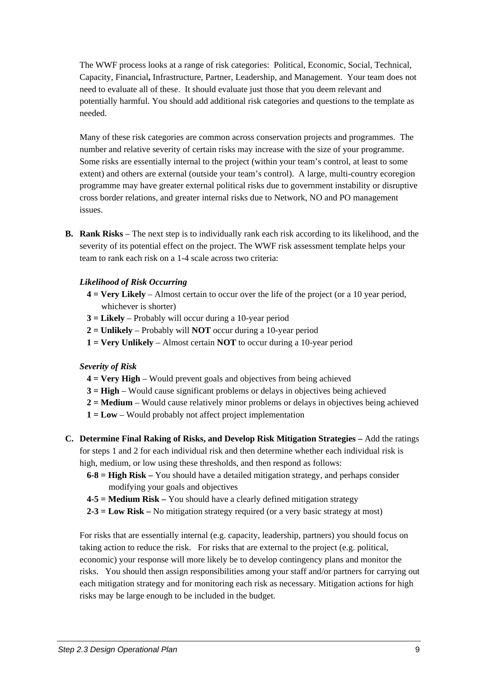The WWF process looks at a range of risk categories:Political, Economic, Social, Technical, Capacity, Financial**,** Infrastructure, Partner, Leadership, and Management. Your team does not need to evaluate all of these. It should evaluate just those that you deem relevant and potentially harmful. You should add additional risk categories and questions to the template as needed.

Many of these risk categories are common across conservation projects and programmes. The number and relative severity of certain risks may increase with the size of your programme. Some risks are essentially internal to the project (within your team's control, at least to some extent) and others are external (outside your team's control). A large, multi-country ecoregion programme may have greater external political risks due to government instability or disruptive cross border relations, and greater internal risks due to Network, NO and PO management issues.

**B. Rank Risks** – The next step is to individually rank each risk according to its likelihood, and the severity of its potential effect on the project. The WWF risk assessment template helps your team to rank each risk on a 1-4 scale across two criteria:

#### *Likelihood of Risk Occurring*

- **4 = Very Likely** Almost certain to occur over the life of the project (or a 10 year period, whichever is shorter)
- **3 = Likely** Probably will occur during a 10-year period
- **2 = Unlikely** Probably will **NOT** occur during a 10-year period
- **1 = Very Unlikely** Almost certain **NOT** to occur during a 10-year period

#### *Severity of Risk*

- **4 = Very High** Would prevent goals and objectives from being achieved
- **3 = High** Would cause significant problems or delays in objectives being achieved
- **2 = Medium**  Would cause relatively minor problems or delays in objectives being achieved
- **1 = Low** Would probably not affect project implementation
- **C. Determine Final Raking of Risks, and Develop Risk Mitigation Strategies** Add the ratings for steps 1 and 2 for each individual risk and then determine whether each individual risk is high, medium, or low using these thresholds, and then respond as follows:
	- **6-8 = High Risk** You should have a detailed mitigation strategy, and perhaps consider modifying your goals and objectives
	- **4-5 = Medium Risk** You should have a clearly defined mitigation strategy
	- **2-3 = Low Risk** No mitigation strategy required (or a very basic strategy at most)

For risks that are essentially internal (e.g. capacity, leadership, partners) you should focus on taking action to reduce the risk. For risks that are external to the project (e.g. political, economic) your response will more likely be to develop contingency plans and monitor the risks. You should then assign responsibilities among your staff and/or partners for carrying out each mitigation strategy and for monitoring each risk as necessary. Mitigation actions for high risks may be large enough to be included in the budget.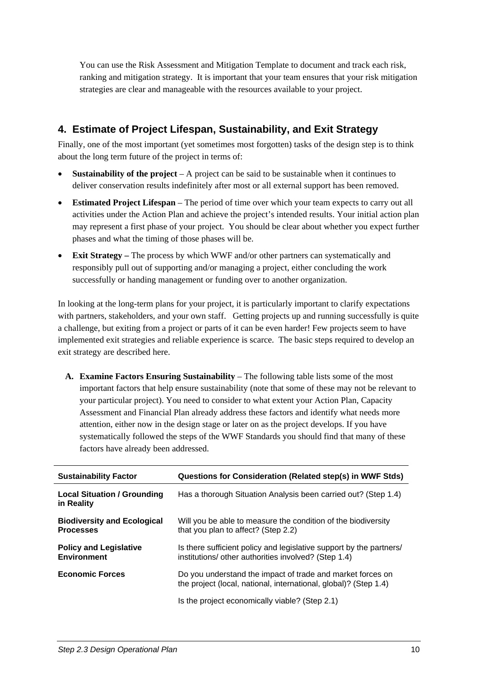<span id="page-11-0"></span>You can use the Risk Assessment and Mitigation Template to document and track each risk, ranking and mitigation strategy. It is important that your team ensures that your risk mitigation strategies are clear and manageable with the resources available to your project.

# **4. Estimate of Project Lifespan, Sustainability, and Exit Strategy**

Finally, one of the most important (yet sometimes most forgotten) tasks of the design step is to think about the long term future of the project in terms of:

- **Sustainability of the project** A project can be said to be sustainable when it continues to deliver conservation results indefinitely after most or all external support has been removed.
- **Estimated Project Lifespan** The period of time over which your team expects to carry out all activities under the Action Plan and achieve the project's intended results. Your initial action plan may represent a first phase of your project. You should be clear about whether you expect further phases and what the timing of those phases will be.
- **Exit Strategy** The process by which WWF and/or other partners can systematically and responsibly pull out of supporting and/or managing a project, either concluding the work successfully or handing management or funding over to another organization.

In looking at the long-term plans for your project, it is particularly important to clarify expectations with partners, stakeholders, and your own staff. Getting projects up and running successfully is quite a challenge, but exiting from a project or parts of it can be even harder! Few projects seem to have implemented exit strategies and reliable experience is scarce. The basic steps required to develop an exit strategy are described here.

**A. Examine Factors Ensuring Sustainability** – The following table lists some of the most important factors that help ensure sustainability (note that some of these may not be relevant to your particular project). You need to consider to what extent your Action Plan, Capacity Assessment and Financial Plan already address these factors and identify what needs more attention, either now in the design stage or later on as the project develops. If you have systematically followed the steps of the WWF Standards you should find that many of these factors have already been addressed.

| <b>Sustainability Factor</b>                           | Questions for Consideration (Related step(s) in WWF Stds)                                                                      |
|--------------------------------------------------------|--------------------------------------------------------------------------------------------------------------------------------|
| <b>Local Situation / Grounding</b><br>in Reality       | Has a thorough Situation Analysis been carried out? (Step 1.4)                                                                 |
| <b>Biodiversity and Ecological</b><br><b>Processes</b> | Will you be able to measure the condition of the biodiversity<br>that you plan to affect? (Step 2.2)                           |
| <b>Policy and Legislative</b><br><b>Environment</b>    | Is there sufficient policy and legislative support by the partners/<br>institutions/ other authorities involved? (Step 1.4)    |
| <b>Economic Forces</b>                                 | Do you understand the impact of trade and market forces on<br>the project (local, national, international, global)? (Step 1.4) |
|                                                        | Is the project economically viable? (Step 2.1)                                                                                 |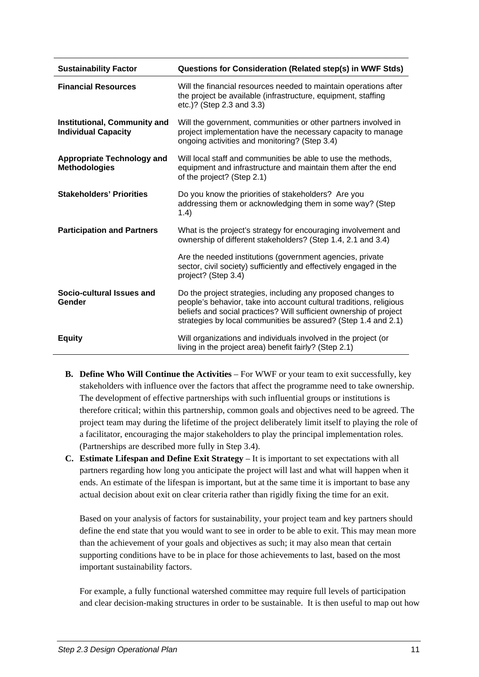| <b>Sustainability Factor</b>                                      | Questions for Consideration (Related step(s) in WWF Stds)                                                                                                                                                                                                                   |
|-------------------------------------------------------------------|-----------------------------------------------------------------------------------------------------------------------------------------------------------------------------------------------------------------------------------------------------------------------------|
| <b>Financial Resources</b>                                        | Will the financial resources needed to maintain operations after<br>the project be available (infrastructure, equipment, staffing<br>etc.)? (Step 2.3 and 3.3)                                                                                                              |
| <b>Institutional, Community and</b><br><b>Individual Capacity</b> | Will the government, communities or other partners involved in<br>project implementation have the necessary capacity to manage<br>ongoing activities and monitoring? (Step 3.4)                                                                                             |
| <b>Appropriate Technology and</b><br><b>Methodologies</b>         | Will local staff and communities be able to use the methods,<br>equipment and infrastructure and maintain them after the end<br>of the project? (Step 2.1)                                                                                                                  |
| <b>Stakeholders' Priorities</b>                                   | Do you know the priorities of stakeholders? Are you<br>addressing them or acknowledging them in some way? (Step<br>1.4)                                                                                                                                                     |
| <b>Participation and Partners</b>                                 | What is the project's strategy for encouraging involvement and<br>ownership of different stakeholders? (Step 1.4, 2.1 and 3.4)                                                                                                                                              |
|                                                                   | Are the needed institutions (government agencies, private<br>sector, civil society) sufficiently and effectively engaged in the<br>project? (Step 3.4)                                                                                                                      |
| Socio-cultural Issues and<br>Gender                               | Do the project strategies, including any proposed changes to<br>people's behavior, take into account cultural traditions, religious<br>beliefs and social practices? Will sufficient ownership of project<br>strategies by local communities be assured? (Step 1.4 and 2.1) |
| <b>Equity</b>                                                     | Will organizations and individuals involved in the project (or<br>living in the project area) benefit fairly? (Step 2.1)                                                                                                                                                    |

- **B. Define Who Will Continue the Activities** For WWF or your team to exit successfully, key stakeholders with influence over the factors that affect the programme need to take ownership. The development of effective partnerships with such influential groups or institutions is therefore critical; within this partnership, common goals and objectives need to be agreed. The project team may during the lifetime of the project deliberately limit itself to playing the role of a facilitator, encouraging the major stakeholders to play the principal implementation roles. (Partnerships are described more fully in Step 3.4).
- **C. Estimate Lifespan and Define Exit Strategy** It is important to set expectations with all partners regarding how long you anticipate the project will last and what will happen when it ends. An estimate of the lifespan is important, but at the same time it is important to base any actual decision about exit on clear criteria rather than rigidly fixing the time for an exit.

Based on your analysis of factors for sustainability, your project team and key partners should define the end state that you would want to see in order to be able to exit. This may mean more than the achievement of your goals and objectives as such; it may also mean that certain supporting conditions have to be in place for those achievements to last, based on the most important sustainability factors.

For example, a fully functional watershed committee may require full levels of participation and clear decision-making structures in order to be sustainable. It is then useful to map out how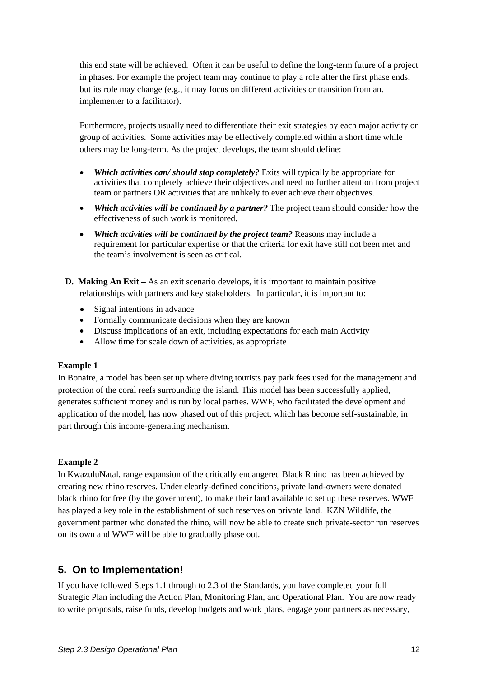<span id="page-13-0"></span>this end state will be achieved. Often it can be useful to define the long-term future of a project in phases. For example the project team may continue to play a role after the first phase ends, but its role may change (e.g., it may focus on different activities or transition from an. implementer to a facilitator).

Furthermore, projects usually need to differentiate their exit strategies by each major activity or group of activities. Some activities may be effectively completed within a short time while others may be long-term. As the project develops, the team should define:

- *Which activities can/ should stop completely?* Exits will typically be appropriate for activities that completely achieve their objectives and need no further attention from project team or partners OR activities that are unlikely to ever achieve their objectives.
- *Which activities will be continued by a partner?* The project team should consider how the effectiveness of such work is monitored.
- *Which activities will be continued by the project team?* Reasons may include a requirement for particular expertise or that the criteria for exit have still not been met and the team's involvement is seen as critical.
- **D. Making An Exit** As an exit scenario develops, it is important to maintain positive relationships with partners and key stakeholders. In particular, it is important to:
	- Signal intentions in advance
	- Formally communicate decisions when they are known
	- Discuss implications of an exit, including expectations for each main Activity
	- Allow time for scale down of activities, as appropriate

#### **Example 1**

In Bonaire, a model has been set up where diving tourists pay park fees used for the management and protection of the coral reefs surrounding the island. This model has been successfully applied, generates sufficient money and is run by local parties. WWF, who facilitated the development and application of the model, has now phased out of this project, which has become self-sustainable, in part through this income-generating mechanism.

#### **Example 2**

In KwazuluNatal, range expansion of the critically endangered Black Rhino has been achieved by creating new rhino reserves. Under clearly-defined conditions, private land-owners were donated black rhino for free (by the government), to make their land available to set up these reserves. WWF has played a key role in the establishment of such reserves on private land. KZN Wildlife, the government partner who donated the rhino, will now be able to create such private-sector run reserves on its own and WWF will be able to gradually phase out.

# **5. On to Implementation!**

If you have followed Steps 1.1 through to 2.3 of the Standards, you have completed your full Strategic Plan including the Action Plan, Monitoring Plan, and Operational Plan. You are now ready to write proposals, raise funds, develop budgets and work plans, engage your partners as necessary,